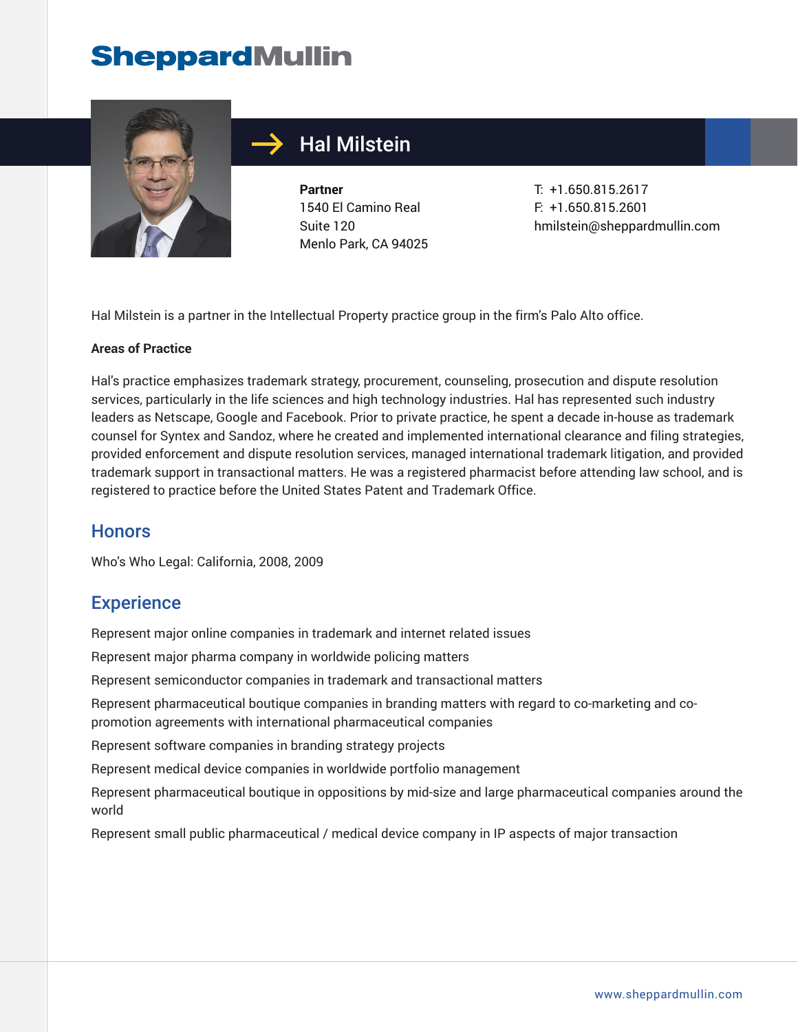# **SheppardMullin**



### Hal Milstein

**Partner** 1540 El Camino Real Suite 120 Menlo Park, CA 94025

T: +1.650.815.2617 F: +1.650.815.2601 hmilstein@sheppardmullin.com

Hal Milstein is a partner in the Intellectual Property practice group in the firm's Palo Alto office.

#### **Areas of Practice**

Hal's practice emphasizes trademark strategy, procurement, counseling, prosecution and dispute resolution services, particularly in the life sciences and high technology industries. Hal has represented such industry leaders as Netscape, Google and Facebook. Prior to private practice, he spent a decade in-house as trademark counsel for Syntex and Sandoz, where he created and implemented international clearance and filing strategies, provided enforcement and dispute resolution services, managed international trademark litigation, and provided trademark support in transactional matters. He was a registered pharmacist before attending law school, and is registered to practice before the United States Patent and Trademark Office.

#### **Honors**

Who's Who Legal: California, 2008, 2009

#### **Experience**

Represent major online companies in trademark and internet related issues

Represent major pharma company in worldwide policing matters

Represent semiconductor companies in trademark and transactional matters

Represent pharmaceutical boutique companies in branding matters with regard to co-marketing and copromotion agreements with international pharmaceutical companies

Represent software companies in branding strategy projects

Represent medical device companies in worldwide portfolio management

Represent pharmaceutical boutique in oppositions by mid-size and large pharmaceutical companies around the world

Represent small public pharmaceutical / medical device company in IP aspects of major transaction